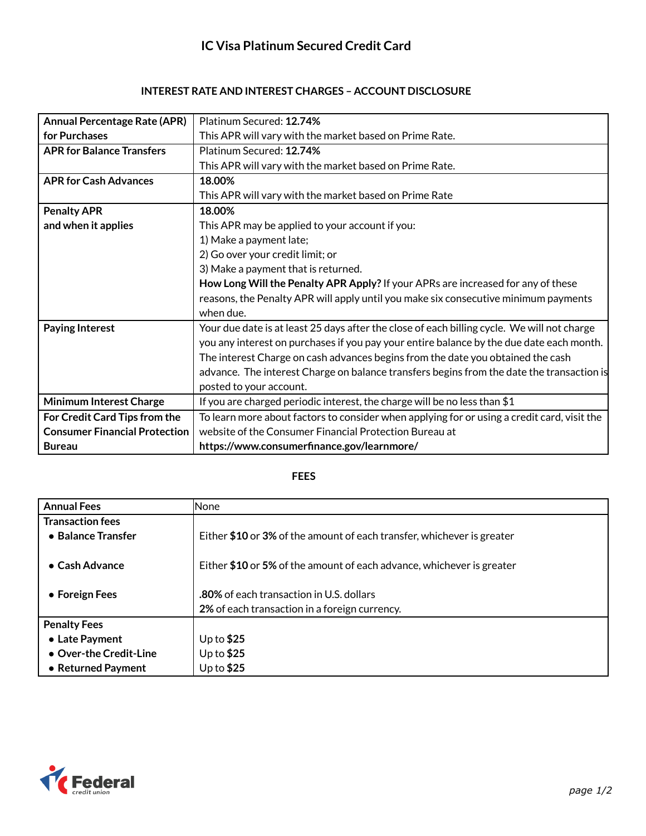## **IC Visa Platinum Secured Credit Card**

## **INTEREST RATE AND INTEREST CHARGES – ACCOUNT DISCLOSURE**

| <b>Annual Percentage Rate (APR)</b>  | Platinum Secured: 12.74%                                                                    |
|--------------------------------------|---------------------------------------------------------------------------------------------|
| for Purchases                        | This APR will vary with the market based on Prime Rate.                                     |
| <b>APR for Balance Transfers</b>     | Platinum Secured: 12.74%                                                                    |
|                                      | This APR will vary with the market based on Prime Rate.                                     |
| <b>APR for Cash Advances</b>         | 18.00%                                                                                      |
|                                      | This APR will vary with the market based on Prime Rate                                      |
| <b>Penalty APR</b>                   | 18.00%                                                                                      |
| and when it applies                  | This APR may be applied to your account if you:                                             |
|                                      | 1) Make a payment late;                                                                     |
|                                      | 2) Go over your credit limit; or                                                            |
|                                      | 3) Make a payment that is returned.                                                         |
|                                      | How Long Will the Penalty APR Apply? If your APRs are increased for any of these            |
|                                      | reasons, the Penalty APR will apply until you make six consecutive minimum payments         |
|                                      | when due.                                                                                   |
| <b>Paying Interest</b>               | Your due date is at least 25 days after the close of each billing cycle. We will not charge |
|                                      | you any interest on purchases if you pay your entire balance by the due date each month.    |
|                                      | The interest Charge on cash advances begins from the date you obtained the cash             |
|                                      | advance. The interest Charge on balance transfers begins from the date the transaction is   |
|                                      | posted to your account.                                                                     |
| <b>Minimum Interest Charge</b>       | If you are charged periodic interest, the charge will be no less than $$1$                  |
| For Credit Card Tips from the        | To learn more about factors to consider when applying for or using a credit card, visit the |
| <b>Consumer Financial Protection</b> | website of the Consumer Financial Protection Bureau at                                      |
| <b>Bureau</b>                        | https://www.consumerfinance.gov/learnmore/                                                  |

## **FEES**

| <b>Annual Fees</b>      | <b>None</b>                                                            |
|-------------------------|------------------------------------------------------------------------|
| <b>Transaction fees</b> |                                                                        |
| • Balance Transfer      | Either \$10 or 3% of the amount of each transfer, whichever is greater |
|                         |                                                                        |
| $\bullet$ Cash Advance  | Either \$10 or 5% of the amount of each advance, whichever is greater  |
|                         |                                                                        |
| • Foreign Fees          | .80% of each transaction in U.S. dollars                               |
|                         | 2% of each transaction in a foreign currency.                          |
| <b>Penalty Fees</b>     |                                                                        |
| • Late Payment          | Up to $$25$                                                            |
| • Over-the Credit-Line  | Up to $$25$                                                            |
| • Returned Payment      | Up to $$25$                                                            |